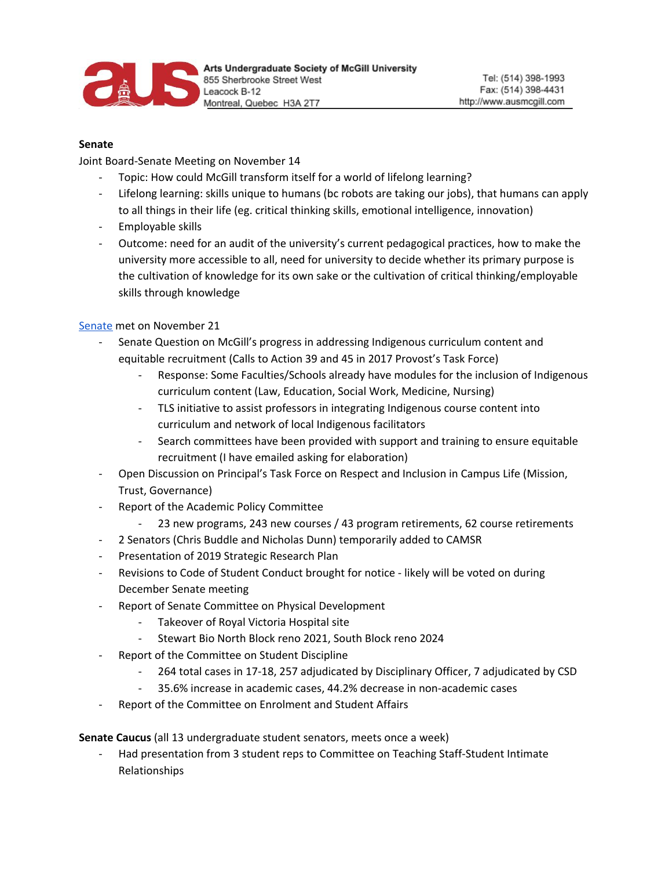

## **Senate**

Joint Board-Senate Meeting on November 14

- Topic: How could McGill transform itself for a world of lifelong learning?
- Lifelong learning: skills unique to humans (bc robots are taking our jobs), that humans can apply to all things in their life (eg. critical thinking skills, emotional intelligence, innovation)
- Employable skills
- Outcome: need for an audit of the university's current pedagogical practices, how to make the university more accessible to all, need for university to decide whether its primary purpose is the cultivation of knowledge for its own sake or the cultivation of critical thinking/employable skills through knowledge

[Senate](https://mcgill.ca/senate/senate-2018-2019/senate-meeting-documents-2018-2019/november-21-2018) met on November 21

- Senate Question on McGill's progress in addressing Indigenous curriculum content and equitable recruitment (Calls to Action 39 and 45 in 2017 Provost's Task Force)
	- Response: Some Faculties/Schools already have modules for the inclusion of Indigenous curriculum content (Law, Education, Social Work, Medicine, Nursing)
	- TLS initiative to assist professors in integrating Indigenous course content into curriculum and network of local Indigenous facilitators
	- Search committees have been provided with support and training to ensure equitable recruitment (I have emailed asking for elaboration)
- Open Discussion on Principal's Task Force on Respect and Inclusion in Campus Life (Mission, Trust, Governance)
- Report of the Academic Policy Committee
	- 23 new programs, 243 new courses / 43 program retirements, 62 course retirements
- 2 Senators (Chris Buddle and Nicholas Dunn) temporarily added to CAMSR
- Presentation of 2019 Strategic Research Plan
- Revisions to Code of Student Conduct brought for notice likely will be voted on during December Senate meeting
- Report of Senate Committee on Physical Development
	- Takeover of Royal Victoria Hospital site
	- Stewart Bio North Block reno 2021, South Block reno 2024
- Report of the Committee on Student Discipline
	- 264 total cases in 17-18, 257 adjudicated by Disciplinary Officer, 7 adjudicated by CSD
	- 35.6% increase in academic cases, 44.2% decrease in non-academic cases
- Report of the Committee on Enrolment and Student Affairs

**Senate Caucus** (all 13 undergraduate student senators, meets once a week)

Had presentation from 3 student reps to Committee on Teaching Staff-Student Intimate Relationships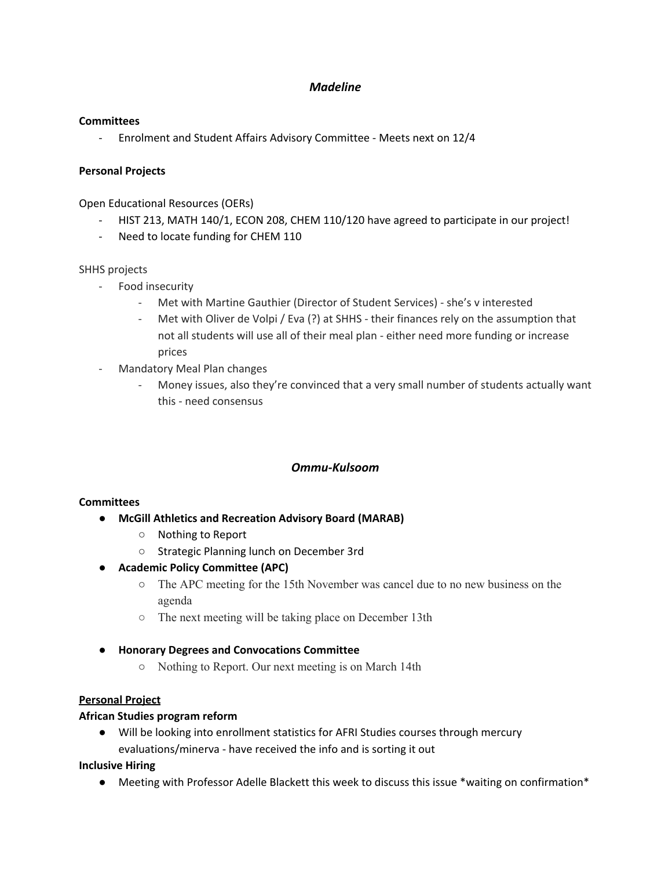# *Madeline*

## **Committees**

- Enrolment and Student Affairs Advisory Committee - Meets next on 12/4

## **Personal Projects**

Open Educational Resources (OERs)

- HIST 213, MATH 140/1, ECON 208, CHEM 110/120 have agreed to participate in our project!
- Need to locate funding for CHEM 110

## SHHS projects

- Food insecurity
	- Met with Martine Gauthier (Director of Student Services) she's v interested
	- Met with Oliver de Volpi / Eva (?) at SHHS their finances rely on the assumption that not all students will use all of their meal plan - either need more funding or increase prices
- Mandatory Meal Plan changes
	- Money issues, also they're convinced that a very small number of students actually want this - need consensus

# *Ommu-Kulsoom*

### **Committees**

- **● McGill Athletics and Recreation Advisory Board (MARAB)**
	- Nothing to Report
	- Strategic Planning lunch on December 3rd
- **● Academic Policy Committee (APC)**
	- **○** The APC meeting for the 15th November was cancel due to no new business on the agenda
	- The next meeting will be taking place on December 13th
- **● Honorary Degrees and Convocations Committee**
	- **○** Nothing to Report. Our next meeting is on March 14th

### **Personal Project**

### **African Studies program reform**

● Will be looking into enrollment statistics for AFRI Studies courses through mercury evaluations/minerva - have received the info and is sorting it out

### **Inclusive Hiring**

● Meeting with Professor Adelle Blackett this week to discuss this issue \*waiting on confirmation\*